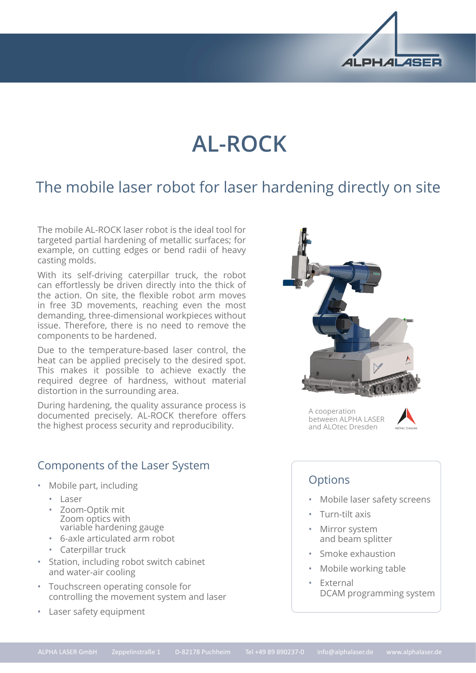

# **AL-ROCK**

# The mobile laser robot for laser hardening directly on site

The mobile AL-ROCK laser robot is the ideal tool for targeted partial hardening of metallic surfaces; for example, on cutting edges or bend radii of heavy casting molds.

With its self-driving caterpillar truck, the robot can effortlessly be driven directly into the thick of the action. On site, the flexible robot arm moves in free 3D movements, reaching even the most demanding, three-dimensional workpieces without issue. Therefore, there is no need to remove the components to be hardened.

Due to the temperature-based laser control, the heat can be applied precisely to the desired spot. This makes it possible to achieve exactly the required degree of hardness, without material distortion in the surrounding area.

During hardening, the quality assurance process is documented precisely. AL-ROCK therefore offers the highest process security and reproducibility.



A cooperation between ALPHA LASER and ALOtec Dresden



## Components of the Laser System

- Mobile part, including
	- Laser
	- Zoom-Optik mit Zoom optics with variable hardening gauge
	- 6-axle articulated arm robot
	- Caterpillar truck
- Station, including robot switch cabinet and water-air cooling
- Touchscreen operating console for controlling the movement system and laser
- Laser safety equipment

### **Options**

- Mobile laser safety screens
- Turn-tilt axis
- Mirror system and beam splitter
- Smoke exhaustion
- Mobile working table
- External DCAM programming system